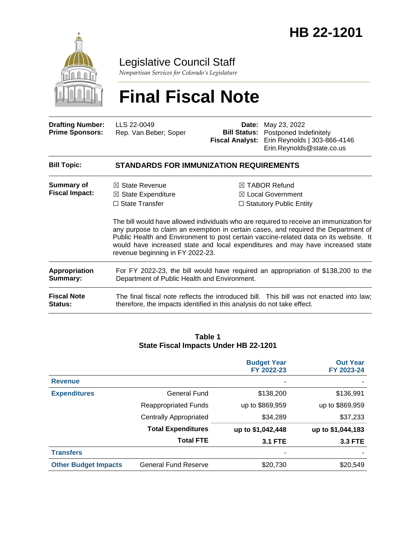

Legislative Council Staff

*Nonpartisan Services for Colorado's Legislature*

# **Final Fiscal Note**

| <b>Drafting Number:</b> | LLS 22-0049           | <b>Date:</b> May 23, 2022                           |
|-------------------------|-----------------------|-----------------------------------------------------|
| <b>Prime Sponsors:</b>  | Rep. Van Beber: Soper | <b>Bill Status:</b> Postponed Indefinitely          |
|                         |                       | <b>Fiscal Analyst:</b> Erin Reynolds   303-866-4146 |
|                         |                       | Erin.Reynolds@state.co.us                           |

| <b>STANDARDS FOR IMMUNIZATION REQUIREMENTS</b>                                                                                                                                                                                                                                                                                                                                               |                                                                                                                                                                   |  |
|----------------------------------------------------------------------------------------------------------------------------------------------------------------------------------------------------------------------------------------------------------------------------------------------------------------------------------------------------------------------------------------------|-------------------------------------------------------------------------------------------------------------------------------------------------------------------|--|
| $\boxtimes$ State Revenue<br>$\boxtimes$ State Expenditure                                                                                                                                                                                                                                                                                                                                   | $\boxtimes$ TABOR Refund<br>$\boxtimes$ Local Government<br>$\Box$ Statutory Public Entity                                                                        |  |
| The bill would have allowed individuals who are required to receive an immunization for<br>any purpose to claim an exemption in certain cases, and required the Department of<br>Public Health and Environment to post certain vaccine-related data on its website. It<br>would have increased state and local expenditures and may have increased state<br>revenue beginning in FY 2022-23. |                                                                                                                                                                   |  |
|                                                                                                                                                                                                                                                                                                                                                                                              | For FY 2022-23, the bill would have required an appropriation of \$138,200 to the                                                                                 |  |
|                                                                                                                                                                                                                                                                                                                                                                                              | The final fiscal note reflects the introduced bill. This bill was not enacted into law;<br>therefore, the impacts identified in this analysis do not take effect. |  |
|                                                                                                                                                                                                                                                                                                                                                                                              | $\Box$ State Transfer<br>Department of Public Health and Environment.                                                                                             |  |

### **Table 1 State Fiscal Impacts Under HB 22-1201**

|                             |                               | <b>Budget Year</b><br>FY 2022-23 | <b>Out Year</b><br>FY 2023-24 |
|-----------------------------|-------------------------------|----------------------------------|-------------------------------|
| <b>Revenue</b>              |                               |                                  |                               |
| <b>Expenditures</b>         | General Fund                  | \$138,200                        | \$136,991                     |
|                             | <b>Reappropriated Funds</b>   | up to \$869,959                  | up to \$869,959               |
|                             | <b>Centrally Appropriated</b> | \$34,289                         | \$37,233                      |
|                             | <b>Total Expenditures</b>     | up to \$1,042,448                | up to \$1,044,183             |
|                             | <b>Total FTE</b>              | <b>3.1 FTE</b>                   | <b>3.3 FTE</b>                |
| <b>Transfers</b>            |                               | ۰                                |                               |
| <b>Other Budget Impacts</b> | <b>General Fund Reserve</b>   | \$20,730                         | \$20,549                      |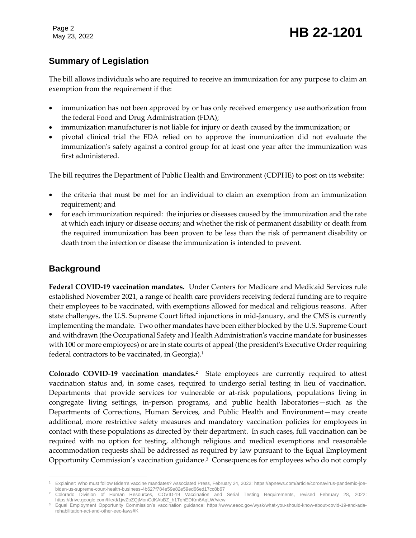Page 2

# **Summary of Legislation**

The bill allows individuals who are required to receive an immunization for any purpose to claim an exemption from the requirement if the:

- immunization has not been approved by or has only received emergency use authorization from the federal Food and Drug Administration (FDA);
- immunization manufacturer is not liable for injury or death caused by the immunization; or
- pivotal clinical trial the FDA relied on to approve the immunization did not evaluate the immunization's safety against a control group for at least one year after the immunization was first administered.

The bill requires the Department of Public Health and Environment (CDPHE) to post on its website:

- the criteria that must be met for an individual to claim an exemption from an immunization requirement; and
- for each immunization required: the injuries or diseases caused by the immunization and the rate at which each injury or disease occurs; and whether the risk of permanent disability or death from the required immunization has been proven to be less than the risk of permanent disability or death from the infection or disease the immunization is intended to prevent.

# **Background**

**Federal COVID-19 vaccination mandates.** Under Centers for Medicare and Medicaid Services rule established November 2021, a range of health care providers receiving federal funding are to require their employees to be vaccinated, with exemptions allowed for medical and religious reasons. After state challenges, the U.S. Supreme Court lifted injunctions in mid-January, and the CMS is currently implementing the mandate. Two other mandates have been either blocked by the U.S. Supreme Court and withdrawn (the Occupational Safety and Health Administration's vaccine mandate for businesses with 100 or more employees) or are in state courts of appeal (the president's Executive Order requiring federal contractors to be vaccinated, in Georgia).<sup>1</sup>

**Colorado COVID-19 vaccination mandates.<sup>2</sup>** State employees are currently required to attest vaccination status and, in some cases, required to undergo serial testing in lieu of vaccination. Departments that provide services for vulnerable or at-risk populations, populations living in congregate living settings, in-person programs, and public health laboratories—such as the Departments of Corrections, Human Services, and Public Health and Environment—may create additional, more restrictive safety measures and mandatory vaccination policies for employees in contact with these populations as directed by their department. In such cases, full vaccination can be required with no option for testing, although religious and medical exemptions and reasonable accommodation requests shall be addressed as required by law pursuant to the Equal Employment Opportunity Commission's vaccination guidance.<sup>3</sup> Consequences for employees who do not comply

 $\overline{a}$ <sup>1</sup> Explainer: Who must follow Biden's vaccine mandates? Associated Press, February 24, 2022: https://apnews.com/article/coronavirus-pandemic-joebiden-us-supreme-court-health-business-4b627f784e59e82e59ed66ed17cc8b67

<sup>2</sup> Colorado Division of Human Resources, COVID-19 Vaccination and Serial Testing Requirements, revised February 28, 2022: https://drive.google.com/file/d/1jwZbZQjMonCdKAbBZ\_h1TqhEDKm6AqLW/view

<sup>3</sup> Equal Employment Opportunity Commission's vaccination guidance: https://www.eeoc.gov/wysk/what-you-should-know-about-covid-19-and-adarehabilitation-act-and-other-eeo-laws#K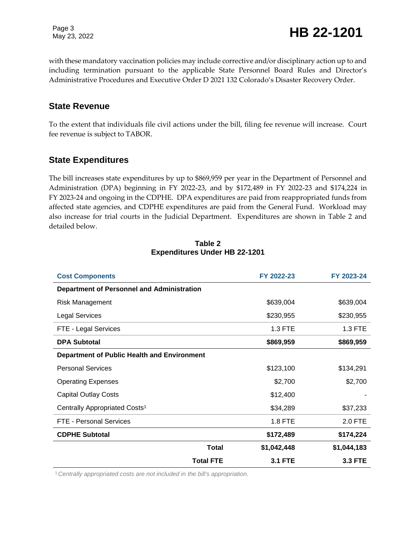Page 3

Page 3<br>May 23, 2022 **HB 22-1201** 

with these mandatory vaccination policies may include corrective and/or disciplinary action up to and including termination pursuant to the applicable State Personnel Board Rules and Director's Administrative Procedures and Executive Order D 2021 132 Colorado's Disaster Recovery Order.

### **State Revenue**

To the extent that individuals file civil actions under the bill, filing fee revenue will increase. Court fee revenue is subject to TABOR.

### **State Expenditures**

The bill increases state expenditures by up to \$869,959 per year in the Department of Personnel and Administration (DPA) beginning in FY 2022-23, and by \$172,489 in FY 2022-23 and \$174,224 in FY 2023-24 and ongoing in the CDPHE. DPA expenditures are paid from reappropriated funds from affected state agencies, and CDPHE expenditures are paid from the General Fund. Workload may also increase for trial courts in the Judicial Department. Expenditures are shown in Table 2 and detailed below.

| <b>Cost Components</b>                            |                  | FY 2022-23     | FY 2023-24     |  |
|---------------------------------------------------|------------------|----------------|----------------|--|
| <b>Department of Personnel and Administration</b> |                  |                |                |  |
| <b>Risk Management</b>                            |                  | \$639,004      | \$639,004      |  |
| <b>Legal Services</b>                             |                  | \$230,955      | \$230,955      |  |
| FTE - Legal Services                              |                  | 1.3 FTE        | 1.3 FTE        |  |
| <b>DPA Subtotal</b>                               |                  | \$869,959      | \$869,959      |  |
| Department of Public Health and Environment       |                  |                |                |  |
| <b>Personal Services</b>                          |                  | \$123,100      | \$134,291      |  |
| <b>Operating Expenses</b>                         |                  | \$2,700        | \$2,700        |  |
| <b>Capital Outlay Costs</b>                       |                  | \$12,400       |                |  |
| Centrally Appropriated Costs <sup>1</sup>         |                  | \$34,289       | \$37,233       |  |
| FTE - Personal Services                           |                  | <b>1.8 FTE</b> | 2.0 FTE        |  |
| <b>CDPHE Subtotal</b>                             |                  | \$172,489      | \$174,224      |  |
|                                                   | <b>Total</b>     | \$1,042,448    | \$1,044,183    |  |
|                                                   | <b>Total FTE</b> | <b>3.1 FTE</b> | <b>3.3 FTE</b> |  |

#### **Table 2 Expenditures Under HB 22-1201**

<sup>1</sup>*Centrally appropriated costs are not included in the bill's appropriation.*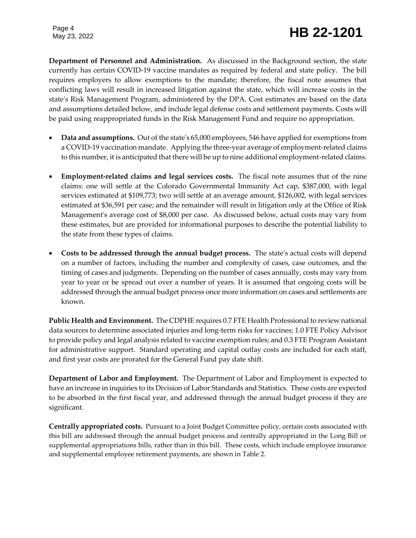**Department of Personnel and Administration.** As discussed in the Background section, the state currently has certain COVID-19 vaccine mandates as required by federal and state policy. The bill requires employers to allow exemptions to the mandate; therefore, the fiscal note assumes that conflicting laws will result in increased litigation against the state, which will increase costs in the state's Risk Management Program, administered by the DPA. Cost estimates are based on the data and assumptions detailed below, and include legal defense costs and settlement payments. Costs will be paid using reappropriated funds in the Risk Management Fund and require no appropriation.

- **Data and assumptions.** Out of the state's 65,000 employees, 546 have applied for exemptions from a COVID-19 vaccination mandate. Applying the three-year average of employment-related claims to this number, it is anticipated that there will be up to nine additional employment-related claims.
- **Employment-related claims and legal services costs.** The fiscal note assumes that of the nine claims: one will settle at the Colorado Governmental Immunity Act cap, \$387,000, with legal services estimated at \$109,773; two will settle at an average amount, \$126,002, with legal services estimated at \$36,591 per case; and the remainder will result in litigation only at the Office of Risk Management's average cost of \$8,000 per case. As discussed below, actual costs may vary from these estimates, but are provided for informational purposes to describe the potential liability to the state from these types of claims.
- **Costs to be addressed through the annual budget process.** The state's actual costs will depend on a number of factors, including the number and complexity of cases, case outcomes, and the timing of cases and judgments. Depending on the number of cases annually, costs may vary from year to year or be spread out over a number of years. It is assumed that ongoing costs will be addressed through the annual budget process once more information on cases and settlements are known.

**Public Health and Environment.** The CDPHE requires 0.7 FTE Health Professional to review national data sources to determine associated injuries and long-term risks for vaccines; 1.0 FTE Policy Advisor to provide policy and legal analysis related to vaccine exemption rules; and 0.3 FTE Program Assistant for administrative support. Standard operating and capital outlay costs are included for each staff, and first year costs are prorated for the General Fund pay date shift.

**Department of Labor and Employment.** The Department of Labor and Employment is expected to have an increase in inquiries to its Division of Labor Standards and Statistics. These costs are expected to be absorbed in the first fiscal year, and addressed through the annual budget process if they are significant.

**Centrally appropriated costs.** Pursuant to a Joint Budget Committee policy, certain costs associated with this bill are addressed through the annual budget process and centrally appropriated in the Long Bill or supplemental appropriations bills, rather than in this bill. These costs, which include employee insurance and supplemental employee retirement payments, are shown in Table 2.